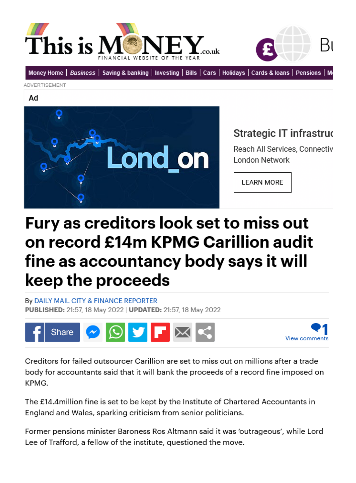



[Money Home](https://www.thisismoney.co.uk/money/index.html) | [Business](https://www.thisismoney.co.uk/money/markets/index.html) | [Saving & banking](https://www.thisismoney.co.uk/money/saving/index.html) | [Investing](https://www.thisismoney.co.uk/money/investing/index.html) | [Bills](https://www.thisismoney.co.uk/money/bills/index.html) | [Cars](https://www.thisismoney.co.uk/money/cars/index.html) | [Holidays](https://www.thisismoney.co.uk/money/holidays/index.html) | [Cards & loans](https://www.thisismoney.co.uk/money/cardsloans/index.html) | [Pensions](https://www.thisismoney.co.uk/money/pensions/index.html) | Mo

Advertisement

Ad



## Strategic IT infrastruo

Reach All Services, Connectiv **London Network** 

**LEARN MORE** 

## Fury as creditors look set to miss out on record £14m KPMG Carillion audit fine as accountancy body says it will keep the proceeds

By [Daily Mail City & Finance Reporter](https://www.thisismoney.co.uk/home/search.html?s=&authornamef=Daily+Mail+City+&+Finance+Reporter)  Published: 21:57, 18 May 2022 | Updated: 21:57, 18 May 2022





Creditors for failed outsourcer Carillion are set to miss out on millions after a trade body for accountants said that it will bank the proceeds of a record fine imposed on KPMG.

The £14.4million fine is set to be kept by the Institute of Chartered Accountants in England and Wales, sparking criticism from senior politicians.

Former pensions minister Baroness Ros Altmann said it was 'outrageous', while Lord Lee of Trafford, a fellow of the institute, questioned the move.